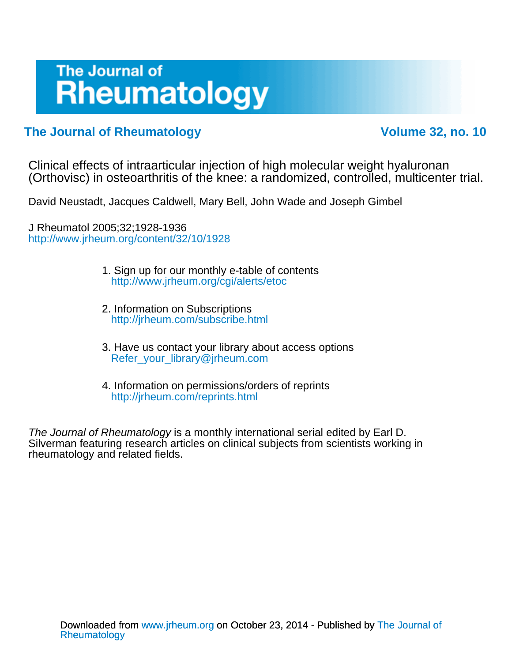# The Journal of **Rheumatology**

### **The Journal of Rheumatology Volume 32, no. 10**

(Orthovisc) in osteoarthritis of the knee: a randomized, controlled, multicenter trial. Clinical effects of intraarticular injection of high molecular weight hyaluronan

David Neustadt, Jacques Caldwell, Mary Bell, John Wade and Joseph Gimbel

<http://www.jrheum.org/content/32/10/1928> J Rheumatol 2005;32;1928-1936

- <http://www.jrheum.org/cgi/alerts/etoc> 1. Sign up for our monthly e-table of contents
- <http://jrheum.com/subscribe.html> 2. Information on Subscriptions
- [Refer\\_your\\_library@jrheum.com](mailto:Refer_your_library@jrheum.com) 3. Have us contact your library about access options
- <http://jrheum.com/reprints.html> 4. Information on permissions/orders of reprints

rheumatology and related fields. Silverman featuring research articles on clinical subjects from scientists working in The Journal of Rheumatology is a monthly international serial edited by Earl D.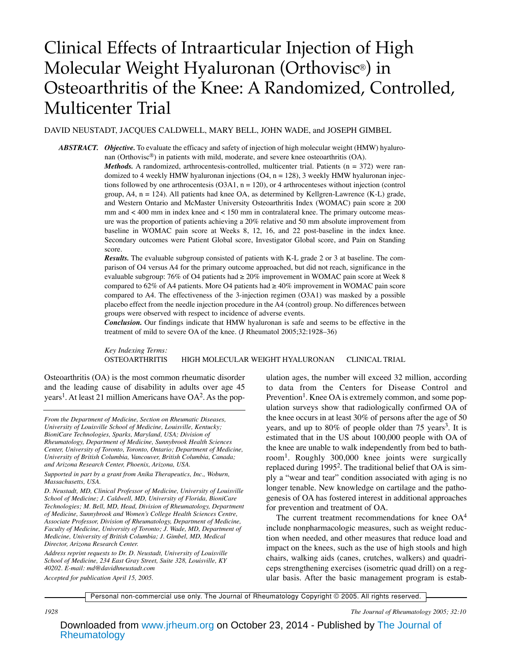## Clinical Effects of Intraarticular Injection of High Molecular Weight Hyaluronan (Orthovisc®) in Osteoarthritis of the Knee: A Randomized, Controlled, Multicenter Trial

#### DAVID NEUSTADT, JACQUES CALDWELL, MARY BELL, JOHN WADE, and JOSEPH GIMBEL

*ABSTRACT. Objective.* To evaluate the efficacy and safety of injection of high molecular weight (HMW) hyaluronan (Orthovisc®) in patients with mild, moderate, and severe knee osteoarthritis (OA).

*Methods.* A randomized, arthrocentesis-controlled, multicenter trial. Patients ( $n = 372$ ) were randomized to 4 weekly HMW hyaluronan injections  $(O4, n = 128)$ , 3 weekly HMW hyaluronan injections followed by one arthrocentesis  $(O3A1, n = 120)$ , or 4 arthrocenteses without injection (control group,  $A4$ ,  $n = 124$ ). All patients had knee OA, as determined by Kellgren-Lawrence (K-L) grade, and Western Ontario and McMaster University Osteoarthritis Index (WOMAC) pain score  $\geq 200$ mm and < 400 mm in index knee and < 150 mm in contralateral knee. The primary outcome measure was the proportion of patients achieving a 20% relative and 50 mm absolute improvement from baseline in WOMAC pain score at Weeks 8, 12, 16, and 22 post-baseline in the index knee. Secondary outcomes were Patient Global score, Investigator Global score, and Pain on Standing score.

*Results.* The evaluable subgroup consisted of patients with K-L grade 2 or 3 at baseline. The comparison of O4 versus A4 for the primary outcome approached, but did not reach, significance in the evaluable subgroup: 76% of O4 patients had  $\geq 20\%$  improvement in WOMAC pain score at Week 8 compared to 62% of A4 patients. More O4 patients had  $\geq 40\%$  improvement in WOMAC pain score compared to A4. The effectiveness of the 3-injection regimen (O3A1) was masked by a possible placebo effect from the needle injection procedure in the A4 (control) group. No differences between groups were observed with respect to incidence of adverse events.

*Conclusion.* Our findings indicate that HMW hyaluronan is safe and seems to be effective in the treatment of mild to severe OA of the knee. (J Rheumatol 2005;32:1928–36)

*Key Indexing Terms:* OSTEOARTHRITIS HIGH MOLECULAR WEIGHT HYALURONAN CLINICAL TRIAL

Osteoarthritis (OA) is the most common rheumatic disorder and the leading cause of disability in adults over age 45 years<sup>1</sup>. At least 21 million Americans have  $OA^2$ . As the pop-

*Address reprint requests to Dr. D. Neustadt, University of Louisville School of Medicine, 234 East Gray Street, Suite 328, Louisville, KY 40202. E-mail: md@davidhneustadt.com Accepted for publication April 15, 2005.*

ulation ages, the number will exceed 32 million, according to data from the Centers for Disease Control and Prevention<sup>1</sup>. Knee OA is extremely common, and some population surveys show that radiologically confirmed OA of the knee occurs in at least 30% of persons after the age of 50 years, and up to  $80\%$  of people older than 75 years<sup>3</sup>. It is estimated that in the US about 100,000 people with OA of the knee are unable to walk independently from bed to bathroom<sup>1</sup>. Roughly 300,000 knee joints were surgically replaced during 19952. The traditional belief that OA is simply a "wear and tear" condition associated with aging is no longer tenable. New knowledge on cartilage and the pathogenesis of OA has fostered interest in additional approaches for prevention and treatment of OA.

The current treatment recommendations for knee  $OA<sup>4</sup>$ include nonpharmacologic measures, such as weight reduction when needed, and other measures that reduce load and impact on the knees, such as the use of high stools and high chairs, walking aids (canes, crutches, walkers) and quadriceps strengthening exercises (isometric quad drill) on a regular basis. After the basic management program is estab-

Personal non-commercial use only. The Journal of Rheumatology Copyright © 2005. All rights reserved.

*1928 The Journal of Rheumatology 2005; 32:10*

*From the Department of Medicine, Section on Rheumatic Diseases, University of Louisville School of Medicine, Louisville, Kentucky; BioniCare Technologies, Sparks, Maryland, USA; Division of Rheumatology, Department of Medicine, Sunnybrook Health Sciences Center, University of Toronto, Toronto, Ontario; Department of Medicine, University of British Columbia, Vancouver, British Columbia, Canada; and Arizona Research Center, Phoenix, Arizona, USA.*

*Supported in part by a grant from Anika Therapeutics, Inc., Woburn, Massachusetts, USA.*

*D. Neustadt, MD, Clinical Professor of Medicine, University of Louisville School of Medicine; J. Caldwell, MD, University of Florida, BioniCare Technologies; M. Bell, MD, Head, Division of Rheumatology, Department of Medicine, Sunnybrook and Women's College Health Sciences Centre, Associate Professor, Division of Rheumatology, Department of Medicine, Faculty of Medicine, University of Toronto; J. Wade, MD, Department of Medicine, University of British Columbia; J. Gimbel, MD, Medical Director, Arizona Research Center.*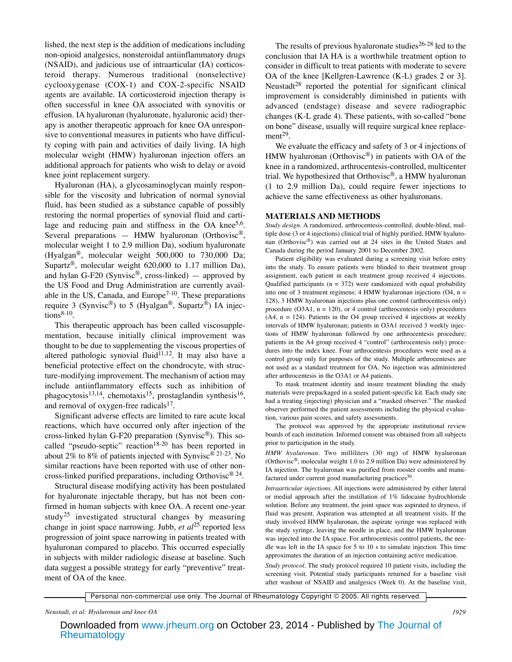lished, the next step is the addition of medications including non-opioid analgesics, nonsteroidal antiinflammatory drugs (NSAID), and judicious use of intraarticular (IA) corticosteroid therapy. Numerous traditional (nonselective) cyclooxygenase (COX-1) and COX-2-specific NSAID agents are available. IA corticosteroid injection therapy is often successful in knee OA associated with synovitis or effusion. IA hyaluronan (hyaluronate, hyaluronic acid) therapy is another therapeutic approach for knee OA unresponsive to conventional measures in patients who have difficulty coping with pain and activities of daily living. IA high molecular weight (HMW) hyaluronan injection offers an additional approach for patients who wish to delay or avoid knee joint replacement surgery.

Hyaluronan (HA), a glycosaminoglycan mainly responsible for the viscosity and lubrication of normal synovial fluid, has been studied as a substance capable of possibly restoring the normal properties of synovial fluid and cartilage and reducing pain and stiffness in the OA knee<sup>5,6</sup>. Several preparations — HMW hyaluronan (Orthovisc<sup>®</sup>, molecular weight 1 to 2.9 million Da), sodium hyaluronate (Hyalgan®, molecular weight 500,000 to 730,000 Da; Supartz®, molecular weight 620,000 to 1.17 million Da), and hylan G-F20 (Synvisc<sup>®</sup>, cross-linked) — approved by the US Food and Drug Administration are currently available in the US, Canada, and Europe<sup>7-10</sup>. These preparations require 3 (Synvisc®) to 5 (Hyalgan®, Supartz®) IA injec $tions<sup>8-10</sup>$ .

This therapeutic approach has been called viscosupplementation, because initially clinical improvement was thought to be due to supplementing the viscous properties of altered pathologic synovial fluid $\overline{1}^{1,12}$ . It may also have a beneficial protective effect on the chondrocyte, with structure-modifying improvement. The mechanism of action may include antiinflammatory effects such as inhibition of phagocytosis<sup>13,14</sup>, chemotaxis<sup>15</sup>, prostaglandin synthesis<sup>16</sup>, and removal of oxygen-free radicals<sup>17</sup>.

Significant adverse effects are limited to rare acute local reactions, which have occurred only after injection of the cross-linked hylan G-F20 preparation (Synvisc®). This socalled "pseudo-septic" reaction<sup>18-20</sup> has been reported in about 2% to 8% of patients injected with Synvisc® 21-23. No similar reactions have been reported with use of other noncross-linked purified preparations, including Orthovisc® 24.

Structural disease modifying activity has been postulated for hyaluronate injectable therapy, but has not been confirmed in human subjects with knee OA. A recent one-year study<sup>25</sup> investigated structural changes by measuring change in joint space narrowing. Jubb, *et al*<sup>25</sup> reported less progression of joint space narrowing in patients treated with hyaluronan compared to placebo. This occurred especially in subjects with milder radiologic disease at baseline. Such data suggest a possible strategy for early "preventive" treatment of OA of the knee.

The results of previous hyaluronate studies $26-28$  led to the conclusion that IA HA is a worthwhile treatment option to consider in difficult to treat patients with moderate to severe OA of the knee [Kellgren-Lawrence (K-L) grades 2 or 3]. Neustadt<sup>28</sup> reported the potential for significant clinical improvement is considerably diminished in patients with advanced (endstage) disease and severe radiographic changes (K-L grade 4). These patients, with so-called "bone on bone" disease, usually will require surgical knee replacement $^{29}$ .

We evaluate the efficacy and safety of 3 or 4 injections of HMW hyaluronan (Orthovisc<sup>®</sup>) in patients with OA of the knee in a randomized, arthrocentesis-controlled, multicenter trial. We hypothesized that Orthovisc®, a HMW hyaluronan (1 to 2.9 million Da), could require fewer injections to achieve the same effectiveness as other hyaluronans.

#### **MATERIALS AND METHODS**

*Study design.* A randomized, arthrocentesis-controlled, double-blind, multiple dose (3 or 4 injections) clinical trial of highly purified, HMW hyaluronan (Orthovisc®) was carried out at 24 sites in the United States and Canada during the period January 2001 to December 2002.

Patient eligibility was evaluated during a screening visit before entry into the study. To ensure patients were blinded to their treatment group assignment, each patient in each treatment group received 4 injections. Qualified participants ( $n = 372$ ) were randomized with equal probability into one of 3 treatment regimens: 4 HMW hyaluronan injections  $(O4, n =$ 128), 3 HMW hyaluronan injections plus one control (arthrocentesis only) procedure ( $O3A1$ ,  $n = 120$ ), or 4 control (arthrocentesis only) procedures  $(A4, n = 124)$ . Patients in the O4 group received 4 injections at weekly intervals of HMW hyaluronan; patients in O3A1 received 3 weekly injections of HMW hyaluronan followed by one arthrocentesis procedure; patients in the A4 group received 4 "control" (arthrocentesis only) procedures into the index knee. Four arthrocentesis procedures were used as a control group only for purposes of the study. Multiple arthrocenteses are not used as a standard treatment for OA. No injection was administered after arthrocentesis in the O3A1 or A4 patients.

To mask treatment identity and insure treatment blinding the study materials were prepackaged in a sealed patient-specific kit. Each study site had a treating (injecting) physician and a "masked observer." The masked observer performed the patient assessments including the physical evaluation, various pain scores, and safety assessments.

The protocol was approved by the appropriate institutional review boards of each institution. Informed consent was obtained from all subjects prior to participation in the study.

*HMW hyaluronan.* Two milliliters (30 mg) of HMW hyaluronan (Orthovisc<sup>®</sup>, molecular weight 1.0 to 2.9 million Da) were administered by IA injection. The hyaluronan was purified from rooster combs and manufactured under current good manufacturing practices<sup>30</sup>.

*Intraarticular injections.* All injections were administered by either lateral or medial approach after the instillation of 1% lidocaine hydrochloride solution. Before any treatment, the joint space was aspirated to dryness, if fluid was present. Aspiration was attempted at all treatment visits. If the study involved HMW hyaluronan, the aspirate syringe was replaced with the study syringe, leaving the needle in place, and the HMW hyaluronan was injected into the IA space. For arthrocentesis control patients, the needle was left in the IA space for 5 to 10 s to simulate injection. This time approximates the duration of an injection containing active medication.

*Study protocol.* The study protocol required 10 patient visits, including the screening visit. Potential study participants returned for a baseline visit after washout of NSAID and analgesics (Week 0). At the baseline visit,

Personal non-commercial use only. The Journal of Rheumatology Copyright © 2005. All rights reserved.

*Neustadt, et al: Hyaluronan and knee OA 1929*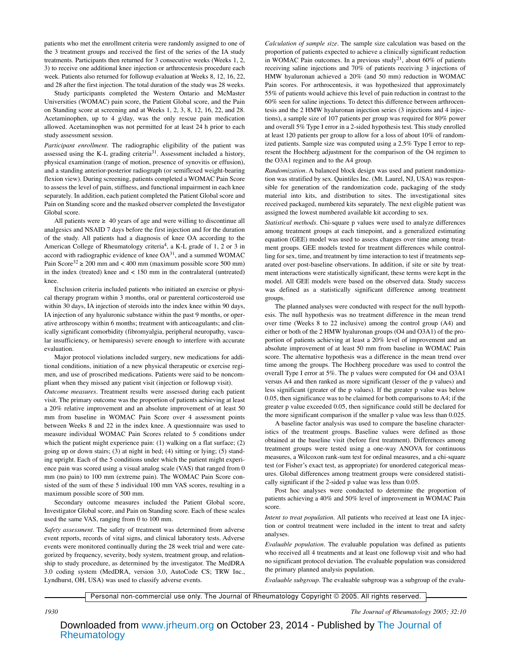patients who met the enrollment criteria were randomly assigned to one of the 3 treatment groups and received the first of the series of the IA study treatments. Participants then returned for 3 consecutive weeks (Weeks 1, 2, 3) to receive one additional knee injection or arthrocentesis procedure each week. Patients also returned for followup evaluation at Weeks 8, 12, 16, 22, and 28 after the first injection. The total duration of the study was 28 weeks.

Study participants completed the Western Ontario and McMaster Universities (WOMAC) pain score, the Patient Global score, and the Pain on Standing score at screening and at Weeks 1, 2, 3, 8, 12, 16, 22, and 28. Acetaminophen, up to 4 g/day, was the only rescue pain medication allowed. Acetaminophen was not permitted for at least 24 h prior to each study assessment session.

*Participant enrollment.* The radiographic eligibility of the patient was assessed using the K-L grading criteria<sup>31</sup>. Assessment included a history, physical examination (range of motion, presence of synovitis or effusion), and a standing anterior-posterior radiograph (or semiflexed weight-bearing flexion view). During screening, patients completed a WOMAC Pain Score to assess the level of pain, stiffness, and functional impairment in each knee separately. In addition, each patient completed the Patient Global score and Pain on Standing score and the masked observer completed the Investigator Global score.

All patients were  $\geq 40$  years of age and were willing to discontinue all analgesics and NSAID 7 days before the first injection and for the duration of the study. All patients had a diagnosis of knee OA according to the American College of Rheumatology criteria<sup>4</sup>, a K-L grade of 1, 2 or 3 in accord with radiographic evidence of knee  $OA^{31}$ , and a summed WOMAC Pain Score<sup>32</sup>  $\geq$  200 mm and < 400 mm (maximum possible score 500 mm) in the index (treated) knee and < 150 mm in the contralateral (untreated) knee.

Exclusion criteria included patients who initiated an exercise or physical therapy program within 3 months, oral or parenteral corticosteroid use within 30 days, IA injection of steroids into the index knee within 90 days, IA injection of any hyaluronic substance within the past 9 months, or operative arthroscopy within 6 months; treatment with anticoagulants; and clinically significant comorbidity (fibromyalgia, peripheral neuropathy, vascular insufficiency, or hemiparesis) severe enough to interfere with accurate evaluation.

Major protocol violations included surgery, new medications for additional conditions, initiation of a new physical therapeutic or exercise regimen, and use of proscribed medications. Patients were said to be noncompliant when they missed any patient visit (injection or followup visit).

*Outcome measures.* Treatment results were assessed during each patient visit. The primary outcome was the proportion of patients achieving at least a 20% relative improvement and an absolute improvement of at least 50 mm from baseline in WOMAC Pain Score over 4 assessment points between Weeks 8 and 22 in the index knee. A questionnaire was used to measure individual WOMAC Pain Scores related to 5 conditions under which the patient might experience pain: (1) walking on a flat surface; (2) going up or down stairs; (3) at night in bed; (4) sitting or lying; (5) standing upright. Each of the 5 conditions under which the patient might experience pain was scored using a visual analog scale (VAS) that ranged from 0 mm (no pain) to 100 mm (extreme pain). The WOMAC Pain Score consisted of the sum of these 5 individual 100 mm VAS scores, resulting in a maximum possible score of 500 mm.

Secondary outcome measures included the Patient Global score, Investigator Global score, and Pain on Standing score. Each of these scales used the same VAS, ranging from 0 to 100 mm.

*Safety assessment.* The safety of treatment was determined from adverse event reports, records of vital signs, and clinical laboratory tests. Adverse events were monitored continually during the 28 week trial and were categorized by frequency, severity, body system, treatment group, and relationship to study procedure, as determined by the investigator. The MedDRA 3.0 coding system (MedDRA, version 3.0, AutoCode CS; TRW Inc., Lyndhurst, OH, USA) was used to classify adverse events.

*Calculation of sample size.* The sample size calculation was based on the proportion of patients expected to achieve a clinically significant reduction in WOMAC Pain outcomes. In a previous study<sup>21</sup>, about 60% of patients receiving saline injections and 70% of patients receiving 3 injections of HMW hyaluronan achieved a 20% (and 50 mm) reduction in WOMAC Pain scores. For arthrocentesis, it was hypothesized that approximately 55% of patients would achieve this level of pain reduction in contrast to the 60% seen for saline injections. To detect this difference between arthrocentesis and the 2 HMW hyaluronan injection series (3 injections and 4 injections), a sample size of 107 patients per group was required for 80% power and overall 5% Type I error in a 2-sided hypothesis test. This study enrolled at least 120 patients per group to allow for a loss of about 10% of randomized patients. Sample size was computed using a 2.5% Type I error to represent the Hochberg adjustment for the comparison of the O4 regimen to the O3A1 regimen and to the A4 group.

*Randomization.* A balanced block design was used and patient randomization was stratified by sex. Quintiles Inc. (Mt. Laurel, NJ, USA) was responsible for generation of the randomization code, packaging of the study material into kits, and distribution to sites. The investigational sites received packaged, numbered kits separately. The next eligible patient was assigned the lowest numbered available kit according to sex.

*Statistical methods.* Chi-square p values were used to analyze differences among treatment groups at each timepoint, and a generalized estimating equation (GEE) model was used to assess changes over time among treatment groups. GEE models tested for treatment differences while controlling for sex, time, and treatment by time interaction to test if treatments separated over post-baseline observations. In addition, if site or site by treatment interactions were statistically significant, these terms were kept in the model. All GEE models were based on the observed data. Study success was defined as a statistically significant difference among treatment groups.

The planned analyses were conducted with respect for the null hypothesis. The null hypothesis was no treatment difference in the mean trend over time (Weeks 8 to 22 inclusive) among the control group (A4) and either or both of the 2 HMW hyaluronan groups (O4 and O3A1) of the proportion of patients achieving at least a 20% level of improvement and an absolute improvement of at least 50 mm from baseline in WOMAC Pain score. The alternative hypothesis was a difference in the mean trend over time among the groups. The Hochberg procedure was used to control the overall Type I error at 5%. The p values were computed for O4 and O3A1 versus A4 and then ranked as more significant (lesser of the p values) and less significant (greater of the p values). If the greater p value was below 0.05, then significance was to be claimed for both comparisons to A4; if the greater p value exceeded 0.05, then significance could still be declared for the more significant comparison if the smaller p value was less than 0.025.

A baseline factor analysis was used to compare the baseline characteristics of the treatment groups. Baseline values were defined as those obtained at the baseline visit (before first treatment). Differences among treatment groups were tested using a one-way ANOVA for continuous measures, a Wilcoxon rank-sum test for ordinal measures, and a chi-square test (or Fisher's exact test, as appropriate) for unordered categorical measures. Global differences among treatment groups were considered statistically significant if the 2-sided p value was less than 0.05.

Post hoc analyses were conducted to determine the proportion of patients achieving a 40% and 50% level of improvement in WOMAC Pain score.

*Intent to treat population.* All patients who received at least one IA injection or control treatment were included in the intent to treat and safety analyses.

*Evaluable population.* The evaluable population was defined as patients who received all 4 treatments and at least one followup visit and who had no significant protocol deviation. The evaluable population was considered the primary planned analysis population.

*Evaluable subgroup.* The evaluable subgroup was a subgroup of the evalu-

Personal non-commercial use only. The Journal of Rheumatology Copyright © 2005. All rights reserved.

*1930 The Journal of Rheumatology 2005; 32:10*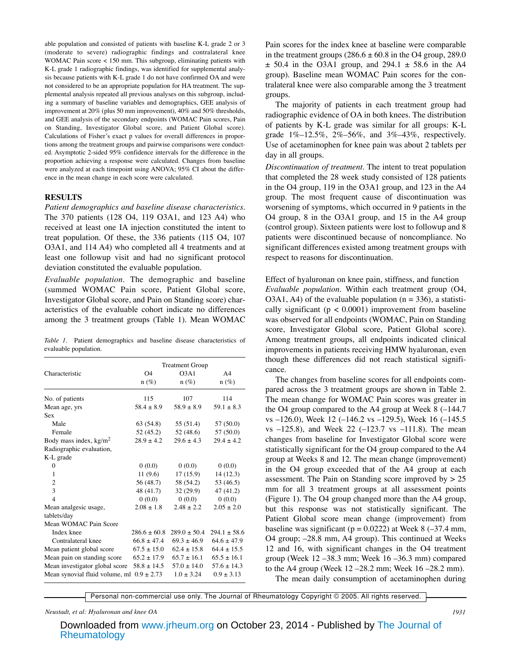able population and consisted of patients with baseline K-L grade 2 or 3 (moderate to severe) radiographic findings and contralateral knee WOMAC Pain score < 150 mm. This subgroup, eliminating patients with K-L grade 1 radiographic findings, was identified for supplemental analysis because patients with K-L grade 1 do not have confirmed OA and were not considered to be an appropriate population for HA treatment. The supplemental analysis repeated all previous analyses on this subgroup, including a summary of baseline variables and demographics, GEE analysis of improvement at 20% (plus 50 mm improvement), 40% and 50% thresholds, and GEE analysis of the secondary endpoints (WOMAC Pain scores, Pain on Standing, Investigator Global score, and Patient Global score). Calculations of Fisher's exact p values for overall differences in proportions among the treatment groups and pairwise comparisons were conducted. Asymptotic 2-sided 95% confidence intervals for the difference in the proportion achieving a response were calculated. Changes from baseline were analyzed at each timepoint using ANOVA; 95% CI about the difference in the mean change in each score were calculated.

#### **RESULTS**

*Patient demographics and baseline disease characteristics.* The 370 patients (128 O4, 119 O3A1, and 123 A4) who received at least one IA injection constituted the intent to treat population. Of these, the 336 patients (115 O4, 107 O3A1, and 114 A4) who completed all 4 treatments and at least one followup visit and had no significant protocol deviation constituted the evaluable population.

*Evaluable population*. The demographic and baseline (summed WOMAC Pain score, Patient Global score, Investigator Global score, and Pain on Standing score) characteristics of the evaluable cohort indicate no differences among the 3 treatment groups (Table 1). Mean WOMAC

|                       |  |  | Table 1. Patient demographics and baseline disease characteristics of |  |
|-----------------------|--|--|-----------------------------------------------------------------------|--|
| evaluable population. |  |  |                                                                       |  |

|                                               | <b>Treatment Group</b> |                   |                |  |  |  |
|-----------------------------------------------|------------------------|-------------------|----------------|--|--|--|
| Characteristic                                | Ω4                     | O <sub>3</sub> A1 | A <sub>4</sub> |  |  |  |
|                                               | $n(\%)$                | $n(\%)$           | $n(\%)$        |  |  |  |
| No. of patients                               | 115                    | 107               | 114            |  |  |  |
| Mean age, yrs                                 | $58.4 + 8.9$           | $58.9 + 8.9$      | $59.1 + 8.3$   |  |  |  |
| <b>Sex</b>                                    |                        |                   |                |  |  |  |
| Male                                          | 63 (54.8)              | 55 (51.4)         | 57 (50.0)      |  |  |  |
| Female                                        | 52 (45.2)              | 52 (48.6)         | 57 (50.0)      |  |  |  |
| Body mass index, $kg/m2$                      | $28.9 + 4.2$           | $29.6 + 4.3$      | $29.4 + 4.2$   |  |  |  |
| Radiographic evaluation,                      |                        |                   |                |  |  |  |
| K-L grade                                     |                        |                   |                |  |  |  |
| $\theta$                                      | 0(0.0)                 | 0(0.0)            | 0(0.0)         |  |  |  |
| 1                                             | 11(9.6)                | 17(15.9)          | 14 (12.3)      |  |  |  |
| $\overline{c}$                                | 56 (48.7)              | 58 (54.2)         | 53 (46.5)      |  |  |  |
| 3                                             | 48 (41.7)              | 32(29.9)          | 47 (41.2)      |  |  |  |
| $\overline{\mathbf{A}}$                       | (0.0)                  | (0.0)             | 0(0.0)         |  |  |  |
| Mean analgesic usage,                         | $2.08 + 1.8$           | $2.48 + 2.2$      | $2.05 + 2.0$   |  |  |  |
| tablets/day                                   |                        |                   |                |  |  |  |
| Mean WOMAC Pain Score                         |                        |                   |                |  |  |  |
| Index knee                                    | $286.6 + 60.8$         | $289.0 + 50.4$    | $294.1 + 58.6$ |  |  |  |
| Contralateral knee                            | $66.8 + 47.4$          | $69.3 + 46.9$     | $64.6 + 47.9$  |  |  |  |
| Mean patient global score                     | $67.5 + 15.0$          | $62.4 + 15.8$     | $64.4 + 15.5$  |  |  |  |
| Mean pain on standing score                   | $65.2 + 17.9$          | $65.7 + 16.1$     | $65.5 + 16.1$  |  |  |  |
| Mean investigator global score                | $58.8 \pm 14.5$        | $57.0 \pm 14.0$   | $57.6 + 14.3$  |  |  |  |
| Mean synovial fluid volume, ml $0.9 \pm 2.73$ |                        | $1.0 + 3.24$      | $0.9 + 3.13$   |  |  |  |

Pain scores for the index knee at baseline were comparable in the treatment groups  $(286.6 \pm 60.8 \text{ in the O4 group}, 289.0 \text{ m}$  $\pm$  50.4 in the O3A1 group, and 294.1  $\pm$  58.6 in the A4 group). Baseline mean WOMAC Pain scores for the contralateral knee were also comparable among the 3 treatment groups.

The majority of patients in each treatment group had radiographic evidence of OA in both knees. The distribution of patients by K-L grade was similar for all groups: K-L grade 1%–12.5%, 2%–56%, and 3%–43%, respectively. Use of acetaminophen for knee pain was about 2 tablets per day in all groups.

*Discontinuation of treatment*. The intent to treat population that completed the 28 week study consisted of 128 patients in the O4 group, 119 in the O3A1 group, and 123 in the A4 group. The most frequent cause of discontinuation was worsening of symptoms, which occurred in 9 patients in the O4 group, 8 in the O3A1 group, and 15 in the A4 group (control group). Sixteen patients were lost to followup and 8 patients were discontinued because of noncompliance. No significant differences existed among treatment groups with respect to reasons for discontinuation.

Effect of hyaluronan on knee pain, stiffness, and function *Evaluable population.* Within each treatment group (O4, O3A1, A4) of the evaluable population ( $n = 336$ ), a statistically significant ( $p < 0.0001$ ) improvement from baseline was observed for all endpoints (WOMAC, Pain on Standing score, Investigator Global score, Patient Global score). Among treatment groups, all endpoints indicated clinical improvements in patients receiving HMW hyaluronan, even though these differences did not reach statistical significance.

The changes from baseline scores for all endpoints compared across the 3 treatment groups are shown in Table 2. The mean change for WOMAC Pain scores was greater in the O4 group compared to the A4 group at Week 8 (–144.7 vs –126.0), Week 12 (–146.2 vs –129.5), Week 16 (–145.5 vs –125.8), and Week 22 (–123.7 vs –111.8). The mean changes from baseline for Investigator Global score were statistically significant for the O4 group compared to the A4 group at Weeks 8 and 12. The mean change (improvement) in the O4 group exceeded that of the A4 group at each assessment. The Pain on Standing score improved by  $> 25$ mm for all 3 treatment groups at all assessment points (Figure 1). The O4 group changed more than the A4 group, but this response was not statistically significant. The Patient Global score mean change (improvement) from baseline was significant ( $p = 0.0222$ ) at Week 8 (-37.4 mm, O4 group; –28.8 mm, A4 group). This continued at Weeks 12 and 16, with significant changes in the O4 treatment group (Week 12 –38.3 mm; Week 16 –36.3 mm) compared to the A4 group (Week 12 –28.2 mm; Week 16 –28.2 mm). The mean daily consumption of acetaminophen during

Personal non-commercial use only. The Journal of Rheumatology Copyright © 2005. All rights reserved.

#### *Neustadt, et al: Hyaluronan and knee OA 1931*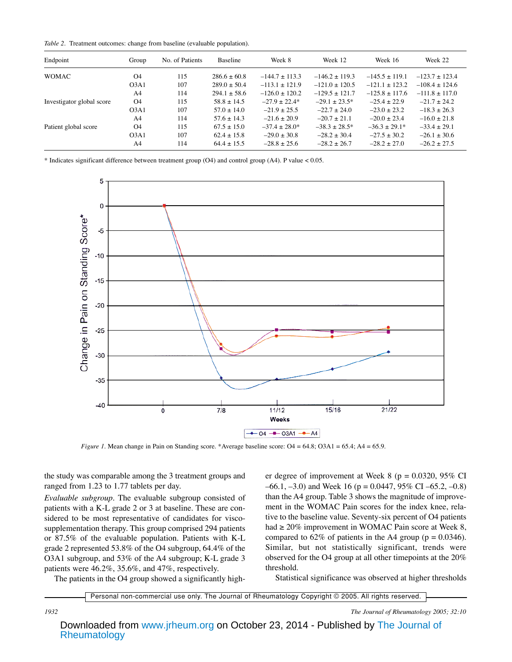*Table 2.* Treatment outcomes: change from baseline (evaluable population).

| Endpoint                  | Group          | No. of Patients | Baseline       | Week 8           | Week 12          | Week 16          | Week 22          |
|---------------------------|----------------|-----------------|----------------|------------------|------------------|------------------|------------------|
| <b>WOMAC</b>              | O <sub>4</sub> | 115             | $286.6 + 60.8$ | $-144.7 + 113.3$ | $-146.2 + 119.3$ | $-145.5 + 119.1$ | $-123.7 + 123.4$ |
|                           | O3A1           | 107             | $289.0 + 50.4$ | $-113.1 + 121.9$ | $-121.0 + 120.5$ | $-121.1 + 123.2$ | $-108.4 + 124.6$ |
|                           | A <sub>4</sub> | 114             | $294.1 + 58.6$ | $-126.0 + 120.2$ | $-129.5 + 121.7$ | $-125.8 + 117.6$ | $-111.8 + 117.0$ |
| Investigator global score | O <sub>4</sub> | 115             | $58.8 + 14.5$  | $-27.9 + 22.4*$  | $-29.1 + 23.5*$  | $-25.4 + 22.9$   | $-21.7 + 24.2$   |
|                           | O3A1           | 107             | $57.0 + 14.0$  | $-21.9 + 25.5$   | $-22.7 + 24.0$   | $-23.0 + 23.2$   | $-18.3 \pm 26.3$ |
|                           | A <sub>4</sub> | 114             | $57.6 + 14.3$  | $-21.6 + 20.9$   | $-20.7 + 21.1$   | $-20.0 \pm 23.4$ | $-16.0 \pm 21.8$ |
| Patient global score      | O <sub>4</sub> | 115             | $67.5 + 15.0$  | $-37.4 + 28.0*$  | $-38.3 + 28.5*$  | $-36.3 + 29.1*$  | $-33.4 \pm 29.1$ |
|                           | O3A1           | 107             | $62.4 + 15.8$  | $-29.0 + 30.8$   | $-28.2 + 30.4$   | $-27.5 + 30.2$   | $-26.1 + 30.6$   |
|                           | A4             | 114             | $64.4 + 15.5$  | $-28.8 + 25.6$   | $-28.2 + 26.7$   | $-28.2 + 27.0$   | $-26.2 \pm 27.5$ |

\* Indicates significant difference between treatment group (O4) and control group (A4). P value < 0.05.



*Figure 1.* Mean change in Pain on Standing score. \*Average baseline score: O4 = 64.8; O3A1 = 65.4; A4 = 65.9.

the study was comparable among the 3 treatment groups and ranged from 1.23 to 1.77 tablets per day.

*Evaluable subgroup.* The evaluable subgroup consisted of patients with a K-L grade 2 or 3 at baseline. These are considered to be most representative of candidates for viscosupplementation therapy. This group comprised 294 patients or 87.5% of the evaluable population. Patients with K-L grade 2 represented 53.8% of the O4 subgroup, 64.4% of the O3A1 subgroup, and 53% of the A4 subgroup; K-L grade 3 patients were 46.2%, 35.6%, and 47%, respectively.

The patients in the O4 group showed a significantly high-

er degree of improvement at Week 8 ( $p = 0.0320$ , 95% CI  $-66.1, -3.0$ ) and Week 16 (p = 0.0447, 95% CI –65.2, –0.8) than the A4 group. Table 3 shows the magnitude of improvement in the WOMAC Pain scores for the index knee, relative to the baseline value. Seventy-six percent of O4 patients had  $\geq$  20% improvement in WOMAC Pain score at Week 8, compared to 62% of patients in the A4 group ( $p = 0.0346$ ). Similar, but not statistically significant, trends were observed for the O4 group at all other timepoints at the 20% threshold.

Statistical significance was observed at higher thresholds

Personal non-commercial use only. The Journal of Rheumatology Copyright © 2005. All rights reserved.

*1932 The Journal of Rheumatology 2005; 32:10*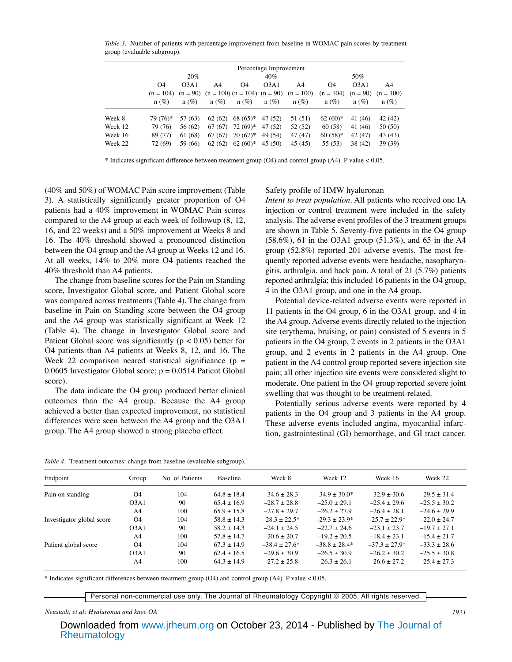*Table 3.* Number of patients with percentage improvement from baseline in WOMAC pain scores by treatment group (evaluable subgroup).

|         | Percentage Improvement<br>20%<br>50%<br>40% |                   |         |            |                   |                                                           |             |                  |             |
|---------|---------------------------------------------|-------------------|---------|------------|-------------------|-----------------------------------------------------------|-------------|------------------|-------------|
|         | O <sub>4</sub>                              | O <sub>3</sub> A1 | A4      | O4         | O <sub>3</sub> A1 | A4                                                        | 04          | O <sub>3A1</sub> | A4          |
|         | $(n = 104)$                                 |                   |         |            |                   | $(n = 90)$ $(n = 100)$ $(n = 104)$ $(n = 90)$ $(n = 100)$ | $(n = 104)$ | $(n = 90)$       | $(n = 100)$ |
|         | $n(\%)$                                     | $n(\%)$           | $n(\%)$ | $n(\%)$    | $n(\%)$           | $n(\%)$                                                   | $n(\%)$     | $n(\%)$          | $n(\%)$     |
| Week 8  | 79 (76)*                                    | 57 (63)           | 62(62)  | $68(65)*$  | 47 (52)           | 51 (51)                                                   | $62(60)*$   | 41 (46)          | 42 (42)     |
| Week 12 | 79 (76)                                     | 56 (62)           | 67 (67) | 72 (69)*   | 47 (52)           | 52 (52)                                                   | 60(58)      | 41 (46)          | 50 (50)     |
| Week 16 | 89 (77)                                     | 61 (68)           | 67 (67) | $70(67)^*$ | 49 (54)           | 47 (47)                                                   | $60(58)*$   | 42 (47)          | 43 (43)     |
| Week 22 | 72 (69)                                     | 59 (66)           | 62(62)  | $62(60)*$  | 45(50)            | 45 (45)                                                   | 55 (53)     | 38 (42)          | 39 (39)     |

\* Indicates significant difference between treatment group (O4) and control group (A4). P value < 0.05.

(40% and 50%) of WOMAC Pain score improvement (Table 3). A statistically significantly greater proportion of O4 patients had a 40% improvement in WOMAC Pain scores compared to the A4 group at each week of followup (8, 12, 16, and 22 weeks) and a 50% improvement at Weeks 8 and 16. The 40% threshold showed a pronounced distinction between the O4 group and the A4 group at Weeks 12 and 16. At all weeks, 14% to 20% more O4 patients reached the 40% threshold than A4 patients.

The change from baseline scores for the Pain on Standing score, Investigator Global score, and Patient Global score was compared across treatments (Table 4). The change from baseline in Pain on Standing score between the O4 group and the A4 group was statistically significant at Week 12 (Table 4). The change in Investigator Global score and Patient Global score was significantly ( $p < 0.05$ ) better for O4 patients than A4 patients at Weeks 8, 12, and 16. The Week 22 comparison neared statistical significance ( $p =$ 0.0605 Investigator Global score;  $p = 0.0514$  Patient Global score).

The data indicate the O4 group produced better clinical outcomes than the A4 group. Because the A4 group achieved a better than expected improvement, no statistical differences were seen between the A4 group and the O3A1 group. The A4 group showed a strong placebo effect.

Safety profile of HMW hyaluronan

*Intent to treat population.* All patients who received one IA injection or control treatment were included in the safety analysis. The adverse event profiles of the 3 treatment groups are shown in Table 5. Seventy-five patients in the O4 group (58.6%), 61 in the O3A1 group (51.3%), and 65 in the A4 group (52.8%) reported 201 adverse events. The most frequently reported adverse events were headache, nasopharyngitis, arthralgia, and back pain. A total of 21 (5.7%) patients reported arthralgia; this included 16 patients in the O4 group, 4 in the O3A1 group, and one in the A4 group.

Potential device-related adverse events were reported in 11 patients in the O4 group, 6 in the O3A1 group, and 4 in the A4 group. Adverse events directly related to the injection site (erythema, bruising, or pain) consisted of 5 events in 5 patients in the O4 group, 2 events in 2 patients in the O3A1 group, and 2 events in 2 patients in the A4 group. One patient in the A4 control group reported severe injection site pain; all other injection site events were considered slight to moderate. One patient in the O4 group reported severe joint swelling that was thought to be treatment-related.

Potentially serious adverse events were reported by 4 patients in the O4 group and 3 patients in the A4 group. These adverse events included angina, myocardial infarction, gastrointestinal (GI) hemorrhage, and GI tract cancer.

*Table 4.* Treatment outcomes: change from baseline (evaluable subgroup).

| Endpoint                  | Group            | No. of Patients | Baseline        | Week 8             | Week 12         | Week 16         | Week 22          |
|---------------------------|------------------|-----------------|-----------------|--------------------|-----------------|-----------------|------------------|
| Pain on standing          | 04               | 104             | $64.8 \pm 18.4$ | $-34.6 + 28.3$     | $-34.9 + 30.0*$ | $-32.9 + 30.6$  | $-29.5 + 31.4$   |
|                           | O <sub>3A1</sub> | 90              | $65.4 + 16.9$   | $-28.7 + 28.8$     | $-25.0 + 29.1$  | $-25.4 + 29.6$  | $-25.5 + 30.2$   |
|                           | A <sub>4</sub>   | 100             | $65.9 + 15.8$   | $-27.8 + 29.7$     | $-26.2 + 27.9$  | $-26.4 + 28.1$  | $-24.6 + 29.9$   |
| Investigator global score | O <sub>4</sub>   | 104             | $58.8 \pm 14.3$ | $-28.3 + 22.5*$    | $-29.3 + 23.9*$ | $-25.7 + 22.9*$ | $-22.0 + 24.7$   |
|                           | O <sub>3A1</sub> | 90              | $58.2 \pm 14.3$ | $-24.1 + 24.5$     | $-22.7 + 24.6$  | $-23.1 + 23.7$  | $-19.7 + 27.1$   |
|                           | A <sub>4</sub>   | 100             | $57.8 + 14.7$   | $-20.6 + 20.7$     | $-19.2 + 20.5$  | $-18.4 + 23.1$  | $-15.4 + 21.7$   |
| Patient global score      | 04               | 104             | $67.3 + 14.9$   | $-38.4 \pm 27.6^*$ | $-38.8 + 28.4*$ | $-37.3 + 27.9*$ | $-33.3 \pm 28.6$ |
|                           | O <sub>3A1</sub> | 90              | $62.4 \pm 16.5$ | $-29.6 + 30.9$     | $-26.5 + 30.9$  | $-26.2 + 30.2$  | $-25.5 + 30.8$   |
|                           | A <sub>4</sub>   | 100             | $64.3 + 14.9$   | $-27.2 + 25.8$     | $-26.3 + 26.1$  | $-26.6 + 27.2$  | $-25.4 + 27.3$   |

\* Indicates significant differences between treatment group (O4) and control group (A4). P value < 0.05.

Personal non-commercial use only. The Journal of Rheumatology Copyright © 2005. All rights reserved.

#### *Neustadt, et al: Hyaluronan and knee OA 1933*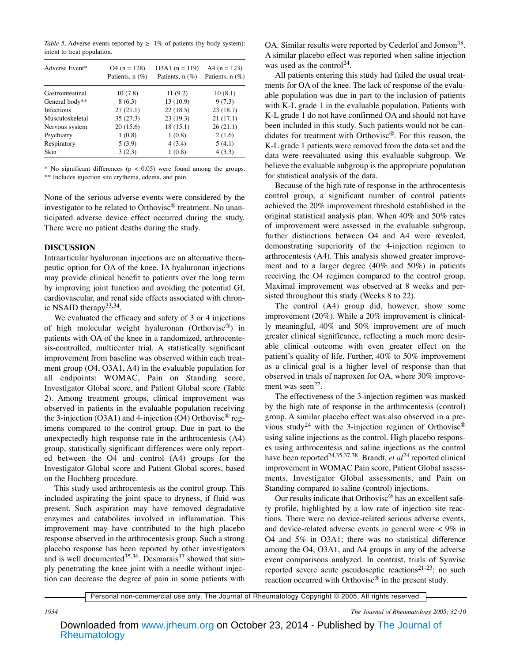*Table 5.* Adverse events reported by  $\geq 1\%$  of patients (by body system): intent to treat population.

| Adverse Event*    | $Q4 (n = 128)$<br>Patients, $n(\%)$ | $O3A1$ (n = 119)<br>Patients, $n(\%)$ | A4 $(n = 123)$<br>Patients, n (%) |  |
|-------------------|-------------------------------------|---------------------------------------|-----------------------------------|--|
| Gastrointestinal  | 10(7.8)                             | 11(9.2)                               | 10(8.1)                           |  |
| General body**    | 8(6.3)                              | 13(10.9)                              | 9(7.3)                            |  |
| <b>Infections</b> | 27(21.1)                            | 22(18.5)                              | 23(18.7)                          |  |
| Musculoskeletal   | 35(27.3)                            | 23(19.3)                              | 21(17.1)                          |  |
| Nervous system    | 20(15.6)                            | 18(15.1)                              | 26(21.1)                          |  |
| Psychiatry        | 1(0.8)                              | 1(0.8)                                | 2(1.6)                            |  |
| Respiratory       | 5(3.9)                              | 4(3.4)                                | 5(4.1)                            |  |
| Skin              | 3(2.3)                              | 1(0.8)                                | 4(3.3)                            |  |

\* No significant differences ( $p < 0.05$ ) were found among the groups. \*\* Includes injection site erythema, edema, and pain.

None of the serious adverse events were considered by the investigator to be related to Orthovisc® treatment. No unanticipated adverse device effect occurred during the study. There were no patient deaths during the study.

### **DISCUSSION**

Intraarticular hyaluronan injections are an alternative therapeutic option for OA of the knee. IA hyaluronan injections may provide clinical benefit to patients over the long term by improving joint function and avoiding the potential GI, cardiovascular, and renal side effects associated with chronic NSAID therapy<sup>33,34</sup>.

We evaluated the efficacy and safety of 3 or 4 injections of high molecular weight hyaluronan (Orthovisc®) in patients with OA of the knee in a randomized, arthrocentesis-controlled, multicenter trial. A statistically significant improvement from baseline was observed within each treatment group (O4, O3A1, A4) in the evaluable population for all endpoints: WOMAC, Pain on Standing score, Investigator Global score, and Patient Global score (Table 2). Among treatment groups, clinical improvement was observed in patients in the evaluable population receiving the 3-injection (O3A1) and 4-injection (O4) Orthovisc<sup>®</sup> regimens compared to the control group. Due in part to the unexpectedly high response rate in the arthrocentesis (A4) group, statistically significant differences were only reported between the O4 and control (A4) groups for the Investigator Global score and Patient Global scores, based on the Hochberg procedure.

This study used arthrocentesis as the control group. This included aspirating the joint space to dryness, if fluid was present. Such aspiration may have removed degradative enzymes and catabolites involved in inflammation. This improvement may have contributed to the high placebo response observed in the arthrocentesis group. Such a strong placebo response has been reported by other investigators and is well documented<sup>35,36</sup>. Desmarais<sup>37</sup> showed that simply penetrating the knee joint with a needle without injection can decrease the degree of pain in some patients with OA. Similar results were reported by Cederlof and Jonson<sup>38</sup>. A similar placebo effect was reported when saline injection was used as the control<sup>24</sup>.

All patients entering this study had failed the usual treatments for OA of the knee. The lack of response of the evaluable population was due in part to the inclusion of patients with K-L grade 1 in the evaluable population. Patients with K-L grade 1 do not have confirmed OA and should not have been included in this study. Such patients would not be candidates for treatment with Orthovisc®. For this reason, the K-L grade 1 patients were removed from the data set and the data were reevaluated using this evaluable subgroup. We believe the evaluable subgroup is the appropriate population for statistical analysis of the data.

Because of the high rate of response in the arthrocentesis control group, a significant number of control patients achieved the 20% improvement threshold established in the original statistical analysis plan. When 40% and 50% rates of improvement were assessed in the evaluable subgroup, further distinctions between O4 and A4 were revealed, demonstrating superiority of the 4-injection regimen to arthrocentesis (A4). This analysis showed greater improvement and to a larger degree (40% and 50%) in patients receiving the O4 regimen compared to the control group. Maximal improvement was observed at 8 weeks and persisted throughout this study (Weeks 8 to 22).

The control (A4) group did, however, show some improvement (20%). While a 20% improvement is clinically meaningful, 40% and 50% improvement are of much greater clinical significance, reflecting a much more desirable clinical outcome with even greater effect on the patient's quality of life. Further, 40% to 50% improvement as a clinical goal is a higher level of response than that observed in trials of naproxen for OA, where 30% improvement was seen $^{27}$ .

The effectiveness of the 3-injection regimen was masked by the high rate of response in the arthrocentesis (control) group. A similar placebo effect was also observed in a previous study<sup>24</sup> with the 3-injection regimen of Orthovisc<sup>®</sup> using saline injections as the control. High placebo responses using arthrocentesis and saline injections as the control have been reported<sup>24,35,37,38</sup>. Brandt, *et al*<sup>24</sup> reported clinical improvement in WOMAC Pain score, Patient Global assessments, Investigator Global assessments, and Pain on Standing compared to saline (control) injections.

Our results indicate that Orthovisc® has an excellent safety profile, highlighted by a low rate of injection site reactions. There were no device-related serious adverse events, and device-related adverse events in general were < 9% in O4 and 5% in O3A1; there was no statistical difference among the O4, O3A1, and A4 groups in any of the adverse event comparisons analyzed. In contrast, trials of Synvisc reported severe acute pseudoseptic reactions<sup>21-23</sup>; no such reaction occurred with Orthovisc<sup>®</sup> in the present study.

Personal non-commercial use only. The Journal of Rheumatology Copyright © 2005. All rights reserved.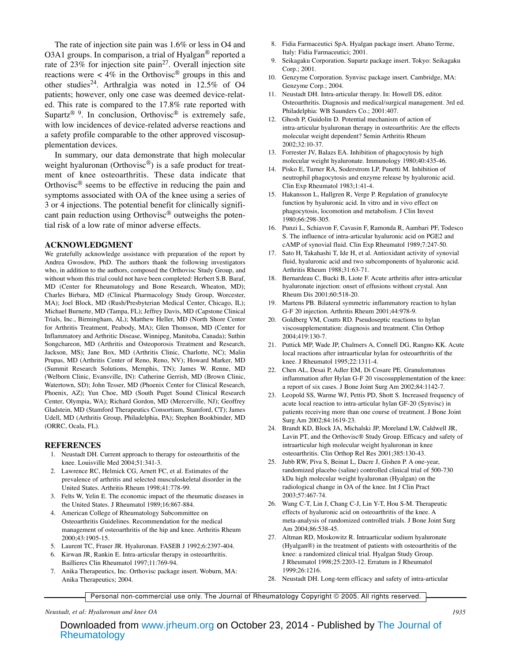The rate of injection site pain was 1.6% or less in O4 and O3A1 groups. In comparison, a trial of Hyalgan® reported a rate of 23% for injection site pain<sup>27</sup>. Overall injection site reactions were  $\lt$  4% in the Orthovisc<sup>®</sup> groups in this and other studies<sup>24</sup>. Arthralgia was noted in 12.5% of O4 patients; however, only one case was deemed device-related. This rate is compared to the 17.8% rate reported with Supartz<sup>® 9</sup>. In conclusion, Orthovisc<sup>®</sup> is extremely safe, with low incidences of device-related adverse reactions and a safety profile comparable to the other approved viscosupplementation devices.

In summary, our data demonstrate that high molecular weight hyaluronan (Orthovisc<sup>®</sup>) is a safe product for treatment of knee osteoarthritis. These data indicate that Orthovisc<sup>®</sup> seems to be effective in reducing the pain and symptoms associated with OA of the knee using a series of 3 or 4 injections. The potential benefit for clinically significant pain reduction using Orthovisc<sup>®</sup> outweighs the potential risk of a low rate of minor adverse effects.

#### **ACKNOWLEDGMENT**

We gratefully acknowledge assistance with preparation of the report by Andrea Gwosdow, PhD. The authors thank the following investigators who, in addition to the authors, composed the Orthovisc Study Group, and without whom this trial could not have been completed: Herbert S.B. Baraf, MD (Center for Rheumatology and Bone Research, Wheaton, MD); Charles Birbara, MD (Clinical Pharmacology Study Group, Worcester, MA); Joel Block, MD (Rush/Presbyterian Medical Center, Chicago, IL); Michael Burnette, MD (Tampa, FL); Jeffrey Davis, MD (Capstone Clinical Trials, Inc., Birmingham, AL); Matthew Heller, MD (North Shore Center for Arthritis Treatment, Peabody, MA); Glen Thomson, MD (Center for Inflammatory and Arthritic Disease, Winnipeg, Manitoba, Canada); Suthin Songchareon, MD (Arthritis and Osteoporosis Treatment and Research, Jackson, MS); Jane Box, MD (Arthritis Clinic, Charlotte, NC); Malin Prupas, MD (Arthritis Center of Reno, Reno, NV); Howard Marker, MD (Summit Research Solutions, Memphis, TN); James W. Renne, MD (Welborn Clinic, Evansville, IN): Catherine Gerrish, MD (Brown Clinic, Watertown, SD); John Tesser, MD (Phoenix Center for Clinical Research, Phoenix, AZ); Yun Choe, MD (South Puget Sound Clinical Research Center, Olympia, WA); Richard Gordon, MD (Mercerville, NJ); Geoffrey Gladstein, MD (Stamford Therapeutics Consortium, Stamford, CT); James Udell, MD (Arthritis Group, Philadelphia, PA); Stephen Bookbinder, MD (ORRC, Ocala, FL).

#### **REFERENCES**

- 1. Neustadt DH. Current approach to therapy for osteoarthritis of the knee. Louisville Med 2004;51:341-3.
- 2. Lawrence RC, Helmick CG, Arnett FC, et al. Estimates of the prevalence of arthritis and selected musculoskeletal disorder in the United States. Arthritis Rheum 1998;41:778-99.
- 3. Felts W, Yelin E. The economic impact of the rheumatic diseases in the United States. J Rheumatol 1989;16:867-884.
- 4. American College of Rheumatology Subcommittee on Osteoarthritis Guidelines. Recommendation for the medical management of osteoarthritis of the hip and knee. Arthritis Rheum 2000;43:1905-15.
- 5. Laurent TC, Fraser JR. Hyaluronan. FASEB J 1992;6:2397-404.
- 6. Kirwan JR, Rankin E. Intra-articular therapy in osteoarthritis. Baillieres Clin Rheumatol 1997;11:769-94.
- 7. Anika Therapeutics, Inc. Orthovisc package insert. Woburn, MA: Anika Therapeutics; 2004.
- 8. Fidia Farmaceutici SpA. Hyalgan package insert. Abano Terme, Italy: Fidia Farmaceutici; 2001.
- 9. Seikagaku Corporation. Supartz package insert. Tokyo: Seikagaku Corp.; 2001.
- 10. Genzyme Corporation. Synvisc package insert. Cambridge, MA: Genzyme Corp.; 2004.
- 11. Neustadt DH. Intra-articular therapy. In: Howell DS, editor. Osteoarthritis. Diagnosis and medical/surgical management. 3rd ed. Philadelphia: WB Saunders Co.; 2001:407.
- 12. Ghosh P, Guidolin D. Potential mechanism of action of intra-articular hyaluronan therapy in osteoarthritis: Are the effects molecular weight dependent? Semin Arthritis Rheum 2002;32:10-37.
- 13. Forrester JV, Balazs EA. Inhibition of phagocytosis by high molecular weight hyaluronate. Immunology 1980;40:435-46.
- 14. Pisko E, Turner RA, Soderstrom LP, Panetti M. Inhibition of neutrophil phagocytosis and enzyme release by hyaluronic acid. Clin Exp Rheumatol 1983;1:41-4.
- 15. Hakansson L, Hallgren R, Verge P. Regulation of granulocyte function by hyaluronic acid. In vitro and in vivo effect on phagocytosis, locomotion and metabolism. J Clin Invest 1980;66:298-305.
- 16. Punzi L, Schiavon F, Cavasin F, Ramonda R, Aambari PF, Todesco S. The influence of intra-articular hyaluronic acid on PGE2 and cAMP of synovial fluid. Clin Exp Rheumatol 1989;7:247-50.
- 17. Sato H, Takahashi T, Ide H, et al. Antioxidant activity of synovial fluid, hyaluronic acid and two subcomponents of hyaluronic acid. Arthritis Rheum 1988;31:63-71.
- 18. Bernardeau C, Bucki B, Liote F. Acute arthritis after intra-articular hyaluronate injection: onset of effusions without crystal. Ann Rheum Dis 2001;60:518-20.
- 19. Martens PB. Bilateral symmetric inflammatory reaction to hylan G-F 20 injection. Arthritis Rheum 2001;44:978-9.
- 20. Goldberg VM, Coutts RD. Pseudoseptic reactions to hylan viscosupplementation: diagnosis and treatment. Clin Orthop 2004;419:130-7.
- 21. Puttick MP, Wade JP, Chalmers A, Connell DG, Rangno KK. Acute local reactions after intraarticular hylan for osteoarthritis of the knee. J Rheumatol 1995;22:1311-4.
- 22. Chen AL, Desai P, Adler EM, Di Cosare PE. Granulomatous inflammation after Hylan G-F 20 viscosupplementation of the knee: a report of six cases. J Bone Joint Surg Am 2002;84:1142-7.
- 23. Leopold SS, Warme WJ, Pettis PD, Shott S. Increased frequency of acute local reaction to intra-articular hylan GF-20 (Synvisc) in patients receiving more than one course of treatment. J Bone Joint Surg Am 2002;84:1619-23.
- 24. Brandt KD, Block JA, Michalski JP, Moreland LW, Caldwell JR, Lavin PT, and the Orthovisc® Study Group. Efficacy and safety of intraarticular high molecular weight hyaluronan in knee osteoarthritis. Clin Orthop Rel Res 2001;385:130-43.
- 25. Jubb RW, Piva S, Beinat L, Dacre J, Gishen P. A one-year, randomized placebo (saline) controlled clinical trial of 500-730 kDa high molecular weight hyaluronan (Hyalgan) on the radiological change in OA of the knee. Int J Clin Pract 2003;57:467-74.
- 26. Wang C-T, Lin J, Chang C-J, Lin Y-T, Hou S-M. Therapeutic effects of hyaluronic acid on osteoarthritis of the knee. A meta-analysis of randomized controlled trials. J Bone Joint Surg Am 2004;86:538-45.
- 27. Altman RD, Moskowitz R. Intraarticular sodium hyaluronate (Hyalgan®) in the treatment of patients with osteoarthritis of the knee: a randomized clinical trial. Hyalgan Study Group. J Rheumatol 1998;25:2203-12. Erratum in J Rheumatol 1999;26:1216.
- 28. Neustadt DH. Long-term efficacy and safety of intra-articular

Personal non-commercial use only. The Journal of Rheumatology Copyright © 2005. All rights reserved.

*Neustadt, et al: Hyaluronan and knee OA 1935*